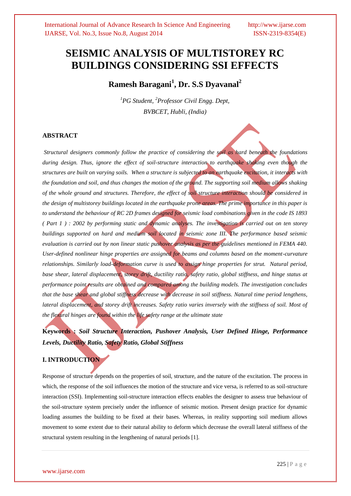# **SEISMIC ANALYSIS OF MULTISTOREY RC BUILDINGS CONSIDERING SSI EFFECTS**

**Ramesh Baragani<sup>1</sup> , Dr. S.S Dyavanal<sup>2</sup>**

*<sup>1</sup>PG Student, <sup>2</sup>Professor Civil Engg. Dept, BVBCET, Hubli, (India)*

# **ABSTRACT**

*Structural designers commonly follow the practice of considering the soil as hard beneath the foundations during design. Thus, ignore the effect of soil-structure interaction to earthquake shaking even though the structures are built on varying soils. When a structure is subjected to an earthquake excitation, it interacts with the foundation and soil, and thus changes the motion of the ground. The supporting soil medium allows shaking of the whole ground and structures. Therefore, the effect of soil structure interaction should be considered in the design of multistorey buildings located in the earthquake prone areas. The prime importance in this paper is to understand the behaviour of RC 2D frames designed for seismic load combinations given in the code IS 1893 ( Part 1 ) : 2002 by performing static and dynamic analyses. The investigation is carried out on ten storey buildings supported on hard and medium soil located in seismic zone III. The performance based seismic evaluation is carried out by non linear static pushover analysis as per the guidelines mentioned in FEMA 440. User-defined nonlinear hinge properties are assigned for beams and columns based on the moment-curvature relationships. Similarly load-deformation curve is used to assign hinge properties for strut. Natural period, base shear, lateral displacement, storey drift, ductility ratio, safety ratio, global stiffness, and hinge status at performance point results are obtained and compared among the building models. The investigation concludes that the base shear and global stiffness decrease with decrease in soil stiffness. Natural time period lengthens, lateral displacement, and storey drift increases. Safety ratio varies inversely with the stiffness of soil. Most of the flexural hinges are found within the life safety range at the ultimate state*

**Keywords :** *Soil Structure Interaction, Pushover Analysis, User Defined Hinge, Performance Levels, Ductility Ratio, Safety Ratio, Global Stiffness* 

# **I. INTRODUCTION**

Response of structure depends on the properties of soil, structure, and the nature of the excitation. The process in which, the response of the soil influences the motion of the structure and vice versa, is referred to as soil-structure interaction (SSI). Implementing soil-structure interaction effects enables the designer to assess true behaviour of the soil-structure system precisely under the influence of seismic motion. Present design practice for dynamic loading assumes the building to be fixed at their bases. Whereas, in reality supporting soil medium allows movement to some extent due to their natural ability to deform which decrease the overall lateral stiffness of the structural system resulting in the lengthening of natural periods [1].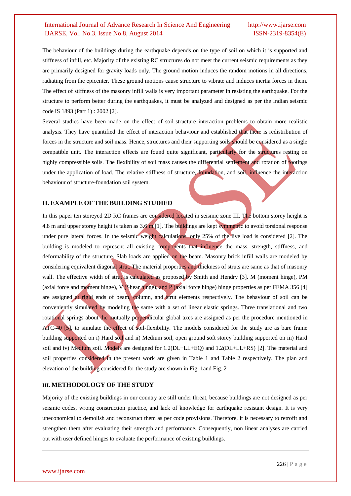The behaviour of the buildings during the earthquake depends on the type of soil on which it is supported and stiffness of infill, etc. Majority of the existing RC structures do not meet the current seismic requirements as they are primarily designed for gravity loads only. The ground motion induces the random motions in all directions, radiating from the epicenter. These ground motions cause structure to vibrate and induces inertia forces in them. The effect of stiffness of the masonry infill walls is very important parameter in resisting the earthquake. For the structure to perform better during the earthquakes, it must be analyzed and designed as per the Indian seismic code IS 1893 (Part 1) : 2002 [2].

Several studies have been made on the effect of soil-structure interaction problems to obtain more realistic analysis. They have quantified the effect of interaction behaviour and established that there is redistribution of forces in the structure and soil mass. Hence, structures and their supporting soils should be considered as a single compatible unit. The interaction effects are found quite significant, particularly for the structures resting on highly compressible soils. The flexibility of soil mass causes the differential settlement and rotation of footings under the application of load. The relative stiffness of structure, foundation, and soil, influence the interaction behaviour of structure-foundation soil system.

#### **II. EXAMPLE OF THE BUILDING STUDIED**

In this paper ten storeyed 2D RC frames are considered located in seismic zone III. The bottom storey height is 4.8 m and upper storey height is taken as  $3.6$  m [1]. The buildings are kept symmetric to avoid torsional response under pure lateral forces. In the seismic weight calculations, only 25% of the live load is considered [2]. The building is modeled to represent all existing components that influence the mass, strength, stiffness, and deformability of the structure. Slab loads are applied on the beam. Masonry brick infill walls are modeled by considering equivalent diagonal strut. The material properties and thickness of struts are same as that of masonry wall. The effective width of strut is calculated as proposed by Smith and Hendry [3]. M (moment hinge), PM (axial force and moment hinge), V (Shear hinge), and P (axial force hinge) hinge properties as per FEMA 356 [4] are assigned at rigid ends of beam, column, and strut elements respectively. The behaviour of soil can be conveniently simulated by modeling the same with a set of linear elastic springs. Three translational and two rotational springs about the mutually perpendicular global axes are assigned as per the procedure mentioned in ATC-40 [5], to simulate the effect of soil-flexibility. The models considered for the study are as bare frame building supported on i) Hard soil and ii) Medium soil, open ground soft storey building supported on iii) Hard soil and iv) Medium soil. Models are designed for 1.2(DL+LL+EQ) and 1.2(DL+LL+RS) [2]. The material and soil properties considered in the present work are given in Table 1 and Table 2 respectively. The plan and elevation of the building considered for the study are shown in Fig. 1and Fig. 2

#### **III. METHODOLOGY OF THE STUDY**

Majority of the existing buildings in our country are still under threat, because buildings are not designed as per seismic codes, wrong construction practice, and lack of knowledge for earthquake resistant design. It is very uneconomical to demolish and reconstruct them as per code provisions. Therefore, it is necessary to retrofit and strengthen them after evaluating their strength and performance. Consequently, non linear analyses are carried out with user defined hinges to evaluate the performance of existing buildings.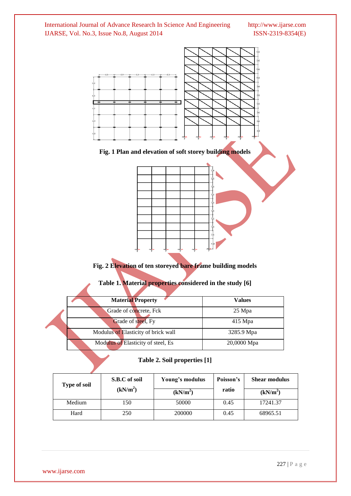

# **Fig. 2 Elevation of ten storeyed bare frame building models**

**Table 1. Material properties considered in the study [6]**

| <b>Material Property</b>            | <b>Values</b> |
|-------------------------------------|---------------|
| Grade of concrete, Fck              | 25 Mpa        |
| Grade of steel, Fy                  | $415$ Mpa     |
| Modulus of Elasticity of brick wall | 3285.9 Mpa    |
| Modulus of Elasticity of steel, Es  | 20,0000 Mpa   |

|  | Table 2. Soil properties [1] |
|--|------------------------------|
|--|------------------------------|

| <b>Type of soil</b> | S.B.C of soil<br>Young's modulus |                      | Poisson's | <b>Shear modulus</b> |
|---------------------|----------------------------------|----------------------|-----------|----------------------|
|                     | (kN/m <sup>2</sup> )             | (kN/m <sup>2</sup> ) | ratio     | (kN/m <sup>2</sup> ) |
| Medium              | 150                              | 50000                | 0.45      | 17241.37             |
| Hard                | 250                              | 200000               | 0.45      | 68965.51             |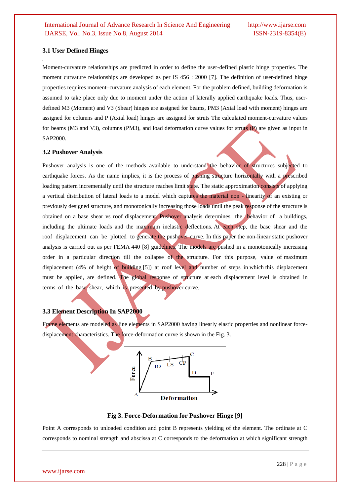### **3.1 User Defined Hinges**

Moment-curvature relationships are predicted in order to define the user-defined plastic hinge properties. The moment curvature relationships are developed as per IS 456 : 2000 [7]. The definition of user-defined hinge properties requires moment–curvature analysis of each element. For the problem defined, building deformation is assumed to take place only due to moment under the action of laterally applied earthquake loads. Thus, userdefined M3 (Moment) and V3 (Shear) hinges are assigned for beams, PM3 (Axial load with moment) hinges are assigned for columns and P (Axial load) hinges are assigned for struts The calculated moment-curvature values for beams (M3 and V3), columns (PM3), and load deformation curve values for struts (P) are given as input in SAP2000.

### **3.2 Pushover Analysis**

Pushover analysis is one of the methods available to understand the behavior of structures subjected to earthquake forces. As the name implies, it is the process of pushing structure horizontally with a prescribed loading pattern incrementally until the structure reaches limit state. The static approximation consists of applying a vertical distribution of lateral loads to a model which captures the material non - linearity of an existing or previously designed structure, and monotonically increasing those loads until the peak response of the structure is obtained on a base shear vs roof displacement. Pushover analysis determines the behavior of a buildings, including the ultimate loads and the maximum inelastic deflections. At each step, the base shear and the roof displacement can be plotted to generate the pushover curve. In this paper the non-linear static pushover analysis is carried out as per FEMA 440 [8] guidelines. The models are pushed in a monotonically increasing order in a particular direction till the collapse of the structure. For this purpose, value of maximum displacement (4% of height of building [5]) at roof level and number of steps in which this displacement must be applied, are defined. The global response of structure at each displacement level is obtained in terms of the base shear, which is presented by pushover curve.

# **3.3 Element Description In SAP2000**

Frame elements are modeled as line elements in SAP2000 having linearly elastic properties and nonlinear forcedisplacement characteristics. The force-deformation curve is shown in the Fig. 3.



**Fig 3. Force-Deformation for Pushover Hinge [9]**

Point A corresponds to unloaded condition and point B represents yielding of the element. The ordinate at C corresponds to nominal strength and abscissa at C corresponds to the deformation at which significant strength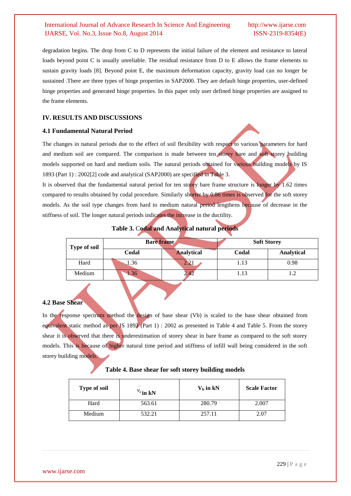degradation begins. The drop from C to D represents the initial failure of the element and resistance to lateral loads beyond point C is usually unreliable. The residual resistance from D to E allows the frame elements to sustain gravity loads [8]. Beyond point E, the maximum deformation capacity, gravity load can no longer be sustained .There are three types of hinge properties in SAP2000. They are default hinge properties, user-defined hinge properties and generated hinge properties. In this paper only user defined hinge properties are assigned to the frame elements.

# **IV. RESULTS AND DISCUSSIONS**

# **4.1 Fundamental Natural Period**

The changes in natural periods due to the effect of soil flexibility with respect to various parameters for hard and medium soil are compared. The comparison is made between ten storey bare and soft storey building models supported on hard and medium soils. The natural periods obtained for various building models by IS 1893 (Part 1) : 2002[2] code and analytical (SAP2000) are specified in Table 3.

It is observed that the fundamental natural period for ten storey bare frame structure is longer by 1.62 times compared to results obtained by codal procedure. Similarly shorter by 0.86 times is observed for the soft storey models. As the soil type changes from hard to medium natural period lengthens because of decrease in the stiffness of soil. The longer natural periods indicates the increase in the ductility.

| <b>Type of soil</b> | Bare frame |                     | <b>Soft Storey</b> |            |
|---------------------|------------|---------------------|--------------------|------------|
|                     | Codal      | <b>Analytical</b>   | Codal              | Analytical |
| Hard                | .36        | $\angle$ . $\angle$ | 1.13               | 0.98       |
| Medium              | .36        |                     | 1.13               |            |

**Table 3.** C**odal and Analytical natural periods**

# **4.2 Base Shear**

In the response spectrum method the design of base shear (Vb) is scaled to the base shear obtained from equivalent static method as per IS 1893 (Part 1) : 2002 as presented in Table 4 and Table 5. From the storey shear it is observed that there is underestimation of storey shear in bare frame as compared to the soft storey models. This is because of higher natural time period and stiffness of infill wall being considered in the soft storey building models.

# **Table 4. Base shear for soft storey building models**

| <b>Type of soil</b> | $v_{b}$ in kN | $Vb$ in kN | <b>Scale Factor</b> |
|---------------------|---------------|------------|---------------------|
| Hard                | 563.61        | 280.79     | 2.007               |
| Medium              | 532.21        | 257.11     | 2.07                |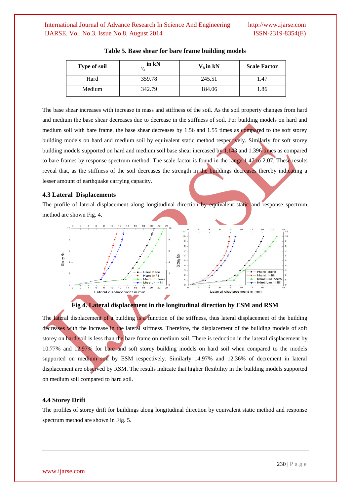| <b>Type of soil</b> | $-$ in kN | $Vb$ in kN | <b>Scale Factor</b> |
|---------------------|-----------|------------|---------------------|
| Hard                | 359.78    | 245.51     | 1.47                |
| Medium              | 342.79    | 184.06     | 1.86                |

| Table 5. Base shear for bare frame building models |  |  |  |  |  |  |  |
|----------------------------------------------------|--|--|--|--|--|--|--|
|----------------------------------------------------|--|--|--|--|--|--|--|

The base shear increases with increase in mass and stiffness of the soil. As the soil property changes from hard and medium the base shear decreases due to decrease in the stiffness of soil. For building models on hard and medium soil with bare frame, the base shear decreases by 1.56 and 1.55 times as compared to the soft storey building models on hard and medium soil by equivalent static method respectively. Similarly for soft storey building models supported on hard and medium soil base shear increased by 1.143 and 1.396 times as compared to bare frames by response spectrum method. The scale factor is found in the range 1.47 to 2.07. These results reveal that, as the stiffness of the soil decreases the strength in the buildings decreases thereby indicating a lesser amount of earthquake carrying capacity.

# **4.3 Lateral Displacements**

The profile of lateral displacement along longitudinal direction by equivalent static and response spectrum method are shown Fig. 4.





The lateral displacement of a building is a function of the stiffness, thus lateral displacement of the building decreases with the increase in the lateral stiffness. Therefore, the displacement of the building models of soft storey on hard soil is less than the bare frame on medium soil. There is reduction in the lateral displacement by 10.77% and 12.97% for bare and soft storey building models on hard soil when compared to the models supported on medium soil by ESM respectively. Similarly 14.97% and 12.36% of decrement in lateral displacement are observed by RSM. The results indicate that higher flexibility in the building models supported on medium soil compared to hard soil.

#### **4.4 Storey Drift**

The profiles of storey drift for buildings along longitudinal direction by equivalent static method and response spectrum method are shown in Fig. 5.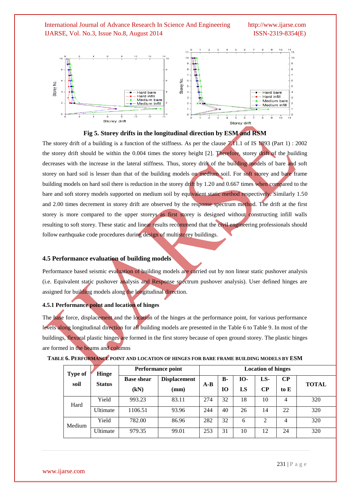



The storey drift of a building is a function of the stiffness. As per the clause  $7.11.1$  of IS 1893 (Part 1) : 2002 the storey drift should be within the 0.004 times the storey height [2]. Therefore, storey drift of the building decreases with the increase in the lateral stiffness. Thus, storey drift of the building models of bare and soft storey on hard soil is lesser than that of the building models on medium soil. For soft storey and bare frame building models on hard soil there is reduction in the storey drift by 1.20 and 0.667 times when compared to the bare and soft storey models supported on medium soil by equivalent static method respectively. Similarly 1.50 and 2.00 times decrement in storey drift are observed by the response spectrum method. The drift at the first storey is more compared to the upper storeys as first storey is designed without constructing infill walls resulting to soft storey. These static and linear results recommend that the civil engineering professionals should follow earthquake code procedures during design of multistorey buildings.

#### **4.5 Performance evaluation of building models**

Performance based seismic evaluation of building models are carried out by non linear static pushover analysis (i.e. Equivalent static pushover analysis and Response spectrum pushover analysis). User defined hinges are assigned for building models along the longitudinal direction.

#### **4.5.1 Performance point and location of hinges**

The base force, displacement and the location of the hinges at the performance point, for various performance levels along longitudinal direction for all building models are presented in the Table 6 to Table 9. In most of the buildings, flexural plastic hinges are formed in the first storey because of open ground storey. The plastic hinges are formed in the beams and columns

| <b>Type of</b> | <b>Hinge</b>  | <b>Performance point</b> | <b>Location of hinges</b> |       |           |            |          |          |              |
|----------------|---------------|--------------------------|---------------------------|-------|-----------|------------|----------|----------|--------------|
| soil           | <b>Status</b> | <b>Base shear</b>        | <b>Displacement</b>       | $A-B$ | <b>B-</b> | <b>IO-</b> | LS-      | $\bf CP$ | <b>TOTAL</b> |
|                |               | (kN)                     | $(\mathbf{mm})$           |       | 10        | LS         | $\bf CP$ | to $E$   |              |
| Hard           | Yield         | 993.23                   | 83.11                     | 274   | 32        | 18         | 10       | 4        | 320          |
|                | Ultimate      | 1106.51                  | 93.96                     | 244   | 40        | 26         | 14       | 22       | 320          |
| Medium         | Yield         | 782.00                   | 86.96                     | 282   | 32        | 6          | 2        | 4        | 320          |
|                | Ultimate      | 979.35                   | 99.01                     | 253   | 31        | 10         | 12       | 24       | 320          |

**TABLE 6. PERFORMANCE POINT AND LOCATION OF HINGES FOR BARE FRAME BUILDING MODELS BY ESM**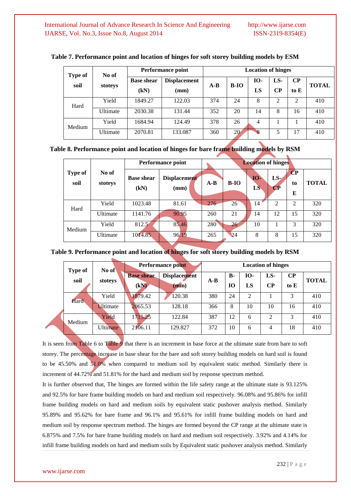| <b>Type of</b> |          | <b>Performance point</b><br>No of |                             |       | <b>Location of hinges</b> |                  |                 |                  |              |  |  |
|----------------|----------|-----------------------------------|-----------------------------|-------|---------------------------|------------------|-----------------|------------------|--------------|--|--|
| soil           | stoteys  | <b>Base shear</b><br>(kN)         | <b>Displacement</b><br>(mm) | $A-B$ | $B-IO$                    | <b>IO-</b><br>LS | LS-<br>$\bf CP$ | $\bf CP$<br>to E | <b>TOTAL</b> |  |  |
| Hard           | Yield    | 1849.27                           | 122.03                      | 374   | 24                        | 8                | 2               | 2                | 410          |  |  |
|                | Ultimate | 2030.38                           | 131.44                      | 352   | 20                        | 14               | 8               | 16               | 410          |  |  |
| Medium         | Yield    | 1684.94                           | 124.49                      | 378   | 26                        | 4                |                 |                  | 410          |  |  |
|                | Ultimate | 2070.81                           | 133.087                     | 360   | 20                        | 8                | 5               | 17               | 410          |  |  |

### **Table 7. Performance point and location of hinges for soft storey building models by ESM**

**Table 8. Performance point and location of hinges for bare frame building models by RSM**

|                        |                  | <b>Performance point</b>  | <b>Location of hinges</b> |       |        |                  |                                    |                                              |              |
|------------------------|------------------|---------------------------|---------------------------|-------|--------|------------------|------------------------------------|----------------------------------------------|--------------|
| <b>Type of</b><br>soil | No of<br>stoteys | <b>Base shear</b><br>(kN) | Displacement<br>(mm)      | $A-B$ | $B-IO$ | <b>IO-</b><br>LS | $LS$ .<br>$\overline{\mathbf{CP}}$ | $\overline{\mathbf{C}}\mathbf{P}$<br>to<br>E | <b>TOTAL</b> |
| Hard                   | Yield            | 1023.48                   | 81.61                     | 276   | 26     | 14               | 2                                  | $\mathcal{D}_{\mathcal{L}}$                  | 320          |
|                        | Ultimate         | 1141.76                   | 90.95                     | 260   | 21     | 14               | 12                                 | 15                                           | 320          |
| Medium                 | Yield            | 812.5                     | 85.46                     | 280   | 26     | 10               |                                    | 3                                            | 320          |
|                        | Ultimate         | 1014.85                   | 96.19                     | 265   | 24     | 8                | 8                                  | 15                                           | 320          |

# **Table 9. Performance point and location of hinges for soft storey building models by RSM**

| <b>Type of</b> |                 | Performance point<br>No of |                     |       | <b>Location of hinges</b> |            |                |          |              |  |
|----------------|-----------------|----------------------------|---------------------|-------|---------------------------|------------|----------------|----------|--------------|--|
| soil           | stoteys         | <b>Base shear</b>          | <b>Displacement</b> | $A-B$ | <b>B-</b>                 | <b>IO-</b> | LS-            | $\bf CP$ | <b>TOTAL</b> |  |
|                |                 | (kN)                       | $(\mathbf{mm})$     |       | 10                        | LS         | CР             | to E     |              |  |
| Hard           | Yield           | 1879.42                    | 120.38              | 380   | 24                        | ↑          |                | 3        | 410          |  |
|                | <b>Ultimate</b> | 2065.53                    | 128.18              | 366   | 8                         | 10         | 10             | 16       | 410          |  |
| Medium         | Yield           | 1715.25                    | 122.84              | 387   | 12                        | 6          | $\overline{c}$ | 3        | 410          |  |
|                | <b>Ultimate</b> | 2106.11                    | 129.827             | 372   | 10                        | 6          | 4              | 18       | 410          |  |

It is seen from Table 6 to Table 9 that there is an increment in base force at the ultimate state from bare to soft storey. The percentage increase in base shear for the bare and soft storey building models on hard soil is found to be 45.50% and 51.0% when compared to medium soil by equivalent static method. Similarly there is increment of 44.72% and 51.81% for the hard and medium soil by response spectrum method.

It is further observed that, The hinges are formed within the life safety range at the ultimate state is 93.125% and 92.5% for bare frame building models on hard and medium soil respectively. 96.08% and 95.86% for infill frame building models on hard and medium soils by equivalent static pushover analysis method. Similarly 95.89% and 95.62% for bare frame and 96.1% and 95.61% for infill frame building models on hard and medium soil by response spectrum method. The hinges are formed beyond the CP range at the ultimate state is 6.875% and 7.5% for bare frame building models on hard and medium soil respectively. 3.92% and 4.14% for infill frame building models on hard and medium soils by Equivalent static pushover analysis method. Similarly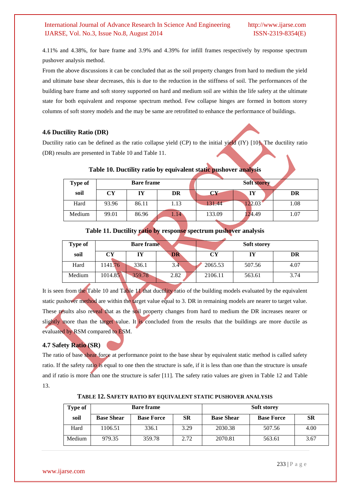4.11% and 4.38%, for bare frame and 3.9% and 4.39% for infill frames respectively by response spectrum pushover analysis method.

From the above discussions it can be concluded that as the soil property changes from hard to medium the yield and ultimate base shear decreases, this is due to the reduction in the stiffness of soil. The performances of the building bare frame and soft storey supported on hard and medium soil are within the life safety at the ultimate state for both equivalent and response spectrum method. Few collapse hinges are formed in bottom storey columns of soft storey models and the may be same are retrofitted to enhance the performance of buildings.

### **4.6 Ductility Ratio (DR)**

Ductility ratio can be defined as the ratio collapse yield (CP) to the initial yield (IY) [10]. The ductility ratio (DR) results are presented in Table 10 and Table 11.

| <b>Type of</b> | <b>Soft storey</b><br><b>Bare frame</b> |       |      |        |        |      |
|----------------|-----------------------------------------|-------|------|--------|--------|------|
| soil           | CY                                      | IY    | DR   | rν     | IY     | DR   |
| Hard           | 93.96                                   | 86.11 | 1.13 | 31.44  | 122.03 | 1.08 |
| Medium         | 99.01                                   | 86.96 | 1.14 | 133.09 | 124.49 | 1.07 |

### **Table 10. Ductility ratio by equivalent static pushover analysis**

# **Table 11. Ductility ratio by response spectrum pushover analysis**

| Type of |         | <b>Bare frame</b> |      |         | <b>Soft storey</b> |      |
|---------|---------|-------------------|------|---------|--------------------|------|
| soil    | CY      | IY                | DR   | CY      | IY                 | DR   |
| Hard    | 141.76  | 336.1             | 3.4  | 2065.53 | 507.56             | 4.07 |
| Medium  | 1014.85 | 359.78            | 2.82 | 2106.11 | 563.61             | 3.74 |

It is seen from the Table 10 and Table 11 that ductility ratio of the building models evaluated by the equivalent static pushover method are within the target value equal to 3. DR in remaining models are nearer to target value. These results also reveal that as the soil property changes from hard to medium the DR increases nearer or slightly more than the target value. It is concluded from the results that the buildings are more ductile as evaluated by RSM compared to ESM.

### **4.7 Safety Ratio (SR)**

The ratio of base shear force at performance point to the base shear by equivalent static method is called safety ratio. If the safety ratio is equal to one then the structure is safe, if it is less than one than the structure is unsafe and if ratio is more than one the structure is safer [11]. The safety ratio values are given in Table 12 and Table 13.

| Type of |                   | <b>Bare frame</b> |           | <b>Soft storey</b> |                   |      |
|---------|-------------------|-------------------|-----------|--------------------|-------------------|------|
| soil    | <b>Base Shear</b> | <b>Base Force</b> | <b>SR</b> | <b>Base Shear</b>  | <b>Base Force</b> | SR   |
| Hard    | 1106.51           | 336.1             | 3.29      | 2030.38            | 507.56            | 4.00 |
| Medium  | 979.35            | 359.78            | 2.72      | 2070.81            | 563.61            | 3.67 |

**TABLE 12. SAFETY RATIO BY EQUIVALENT STATIC PUSHOVER ANALYSIS**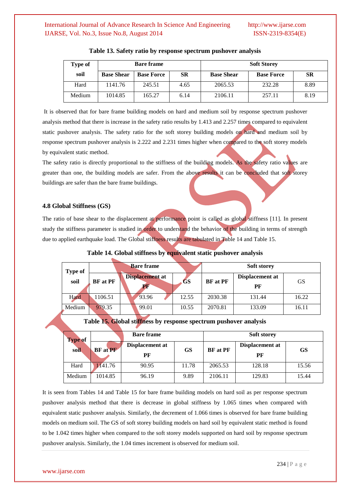| Type of |                   | <b>Bare frame</b> |      | <b>Soft Storey</b> |                   |      |
|---------|-------------------|-------------------|------|--------------------|-------------------|------|
| soil    | <b>Base Shear</b> | <b>Base Force</b> | SR   | <b>Base Shear</b>  | <b>Base Force</b> | SR   |
| Hard    | 1141.76           | 245.51            | 4.65 | 2065.53            | 232.28            | 8.89 |
| Medium  | 1014.85           | 165.27            | 6.14 | 2106.11            | 257.11            | 8.19 |

#### **Table 13. Safety ratio by response spectrum pushover analysis**

It is observed that for bare frame building models on hard and medium soil by response spectrum pushover analysis method that there is increase in the safety ratio results by 1.413 and 2.257 times compared to equivalent static pushover analysis. The safety ratio for the soft storey building models on hard and medium soil by response spectrum pushover analysis is 2.222 and 2.231 times higher when compared to the soft storey models by equivalent static method.

The safety ratio is directly proportional to the stiffness of the building models. As the safety ratio values are greater than one, the building models are safer. From the above results it can be concluded that soft storey buildings are safer than the bare frame buildings.

# **4.8 Global Stiffness (GS)**

The ratio of base shear to the displacement at performance point is called as global stiffness [11]. In present study the stiffness parameter is studied in order to understand the behavior of the building in terms of strength due to applied earthquake load. The Global stiffness results are tabulated in Table 14 and Table 15.

|  | Type of<br>soil | <b>Bare frame</b> |                 |       |       | <b>Soft storey</b> |                 |       |
|--|-----------------|-------------------|-----------------|-------|-------|--------------------|-----------------|-------|
|  |                 | <b>BF</b> at PF   | Displacement at |       | GS    | <b>BF</b> at PF    | Displacement at | GS    |
|  |                 |                   | PF              | PF    |       |                    |                 |       |
|  | Hard            | 1106.51           |                 | 93.96 | 12.55 | 2030.38            | 131.44          | 16.22 |
|  | Medium          | 979.35            |                 | 99.01 | 10.55 | 2070.81            | 133.09          | 16.11 |

#### **Table 14. Global stiffness by equivalent static pushover analysis**

# **Table 15. Global stiffness by response spectrum pushover analysis**

| <b>Type of</b> |                 | <b>Bare frame</b> |       | <b>Soft storey</b> |                 |       |
|----------------|-----------------|-------------------|-------|--------------------|-----------------|-------|
| soil           | <b>BF</b> at PF | Displacement at   | GS    | <b>BF</b> at PF    | Displacement at | GS    |
|                |                 | РF                |       |                    | РF              |       |
| Hard           | 1141.76         | 90.95             | 11.78 | 2065.53            | 128.18          | 15.56 |
| Medium         | 1014.85         | 96.19             | 9.89  | 2106.11            | 129.83          | 15.44 |

It is seen from Tables 14 and Table 15 for bare frame building models on hard soil as per response spectrum pushover analysis method that there is decrease in global stiffness by 1.065 times when compared with equivalent static pushover analysis. Similarly, the decrement of 1.066 times is observed for bare frame building models on medium soil. The GS of soft storey building models on hard soil by equivalent static method is found to be 1.042 times higher when compared to the soft storey models supported on hard soil by response spectrum pushover analysis. Similarly, the 1.04 times increment is observed for medium soil.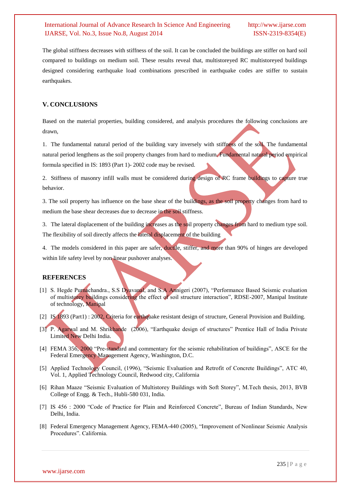The global stiffness decreases with stiffness of the soil. It can be concluded the buildings are stiffer on hard soil compared to buildings on medium soil. These results reveal that, multistoreyed RC multistoreyed buildings designed considering earthquake load combinations prescribed in earthquake codes are stiffer to sustain earthquakes.

# **V. CONCLUSIONS**

Based on the material properties, building considered, and analysis procedures the following conclusions are drawn,

1. The fundamental natural period of the building vary inversely with stiffness of the soil. The fundamental natural period lengthens as the soil property changes from hard to medium. Fundamental natural period empirical formula specified in IS: 1893 (Part 1)- 2002 code may be revised.

2. Stiffness of masonry infill walls must be considered during design of RC frame buildings to capture true behavior.

3. The soil property has influence on the base shear of the buildings, as the soil property changes from hard to medium the base shear decreases due to decrease in the soil stiffness.

3. The lateral displacement of the building increases as the soil property changes from hard to medium type soil. The flexibility of soil directly affects the lateral displacement of the building

4. The models considered in this paper are safer, ductile, stiffer, and more than 90% of hinges are developed within life safety level by non linear pushover analyses.

### **REFERENCES**

- [1] S. Hegde Purnachandra., S.S Dyavanal, and S.A Annigeri (2007), "Performance Based Seismic evaluation of multistorey buildings considering the effect of soil structure interaction", RDSE-2007, Manipal Institute of technology, Manipal
- [2] IS 1893 (Part1) : 2002, Criteria for earthquake resistant design of structure, General Provision and Building.
- [3] P. Agarwal and M. Shrikhande (2006), "Earthquake design of structures" Prentice Hall of India Private Limited New Delhi India.
- [4] FEMA 356, 2000 "Pre-standard and commentary for the seismic rehabilitation of buildings", ASCE for the Federal Emergency Management Agency, Washington, D.C.
- [5] Applied Technology Council, (1996), "Seismic Evaluation and Retrofit of Concrete Buildings", ATC 40, Vol. 1, Applied Technology Council, Redwood city, California
- [6] Rihan Maaze "Seismic Evaluation of Multistorey Buildings with Soft Storey", M.Tech thesis, 2013, BVB College of Engg. & Tech., Hubli-580 031, India.
- [7] IS 456 : 2000 "Code of Practice for Plain and Reinforced Concrete", Bureau of Indian Standards, New Delhi, India.
- [8] Federal Emergency Management Agency, FEMA-440 (2005), "Improvement of Nonlinear Seismic Analysis Procedures". California.